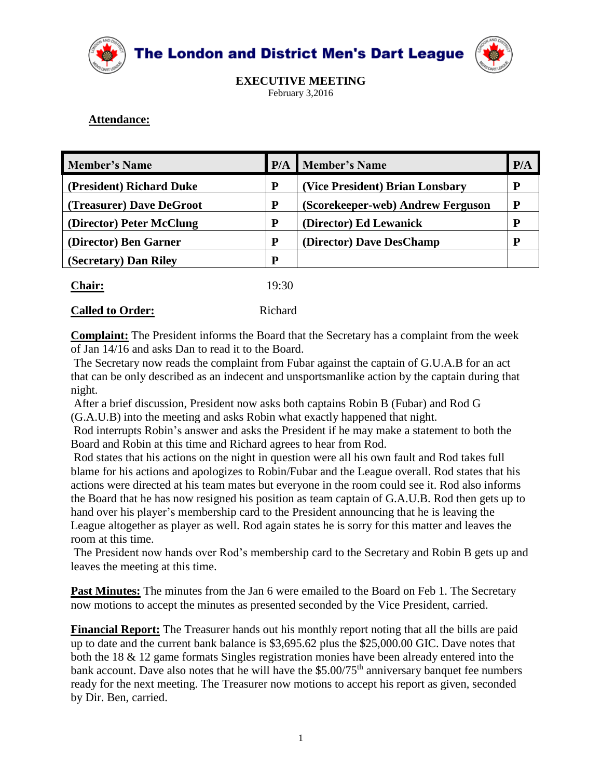

**The London and District Men's Dart League** 



**EXECUTIVE MEETING** February 3,2016

# **Attendance:**

|   |                                   | P/A                      |
|---|-----------------------------------|--------------------------|
| P | (Vice President) Brian Lonsbary   | D                        |
| P | (Scorekeeper-web) Andrew Ferguson |                          |
| P | (Director) Ed Lewanick            | D                        |
| P | (Director) Dave DesChamp          | D                        |
| P |                                   |                          |
|   |                                   | <b>P/A</b> Member's Name |

| <b>Chair:</b>           | 19:30   |
|-------------------------|---------|
| <b>Called to Order:</b> | Richard |

**Complaint:** The President informs the Board that the Secretary has a complaint from the week of Jan 14/16 and asks Dan to read it to the Board.

The Secretary now reads the complaint from Fubar against the captain of G.U.A.B for an act that can be only described as an indecent and unsportsmanlike action by the captain during that night.

After a brief discussion, President now asks both captains Robin B (Fubar) and Rod G (G.A.U.B) into the meeting and asks Robin what exactly happened that night.

Rod interrupts Robin's answer and asks the President if he may make a statement to both the Board and Robin at this time and Richard agrees to hear from Rod.

Rod states that his actions on the night in question were all his own fault and Rod takes full blame for his actions and apologizes to Robin/Fubar and the League overall. Rod states that his actions were directed at his team mates but everyone in the room could see it. Rod also informs the Board that he has now resigned his position as team captain of G.A.U.B. Rod then gets up to hand over his player's membership card to the President announcing that he is leaving the League altogether as player as well. Rod again states he is sorry for this matter and leaves the room at this time.

The President now hands over Rod's membership card to the Secretary and Robin B gets up and leaves the meeting at this time.

Past Minutes: The minutes from the Jan 6 were emailed to the Board on Feb 1. The Secretary now motions to accept the minutes as presented seconded by the Vice President, carried.

**Financial Report:** The Treasurer hands out his monthly report noting that all the bills are paid up to date and the current bank balance is \$3,695.62 plus the \$25,000.00 GIC. Dave notes that both the 18 & 12 game formats Singles registration monies have been already entered into the bank account. Dave also notes that he will have the \$5.00/75<sup>th</sup> anniversary banquet fee numbers ready for the next meeting. The Treasurer now motions to accept his report as given, seconded by Dir. Ben, carried.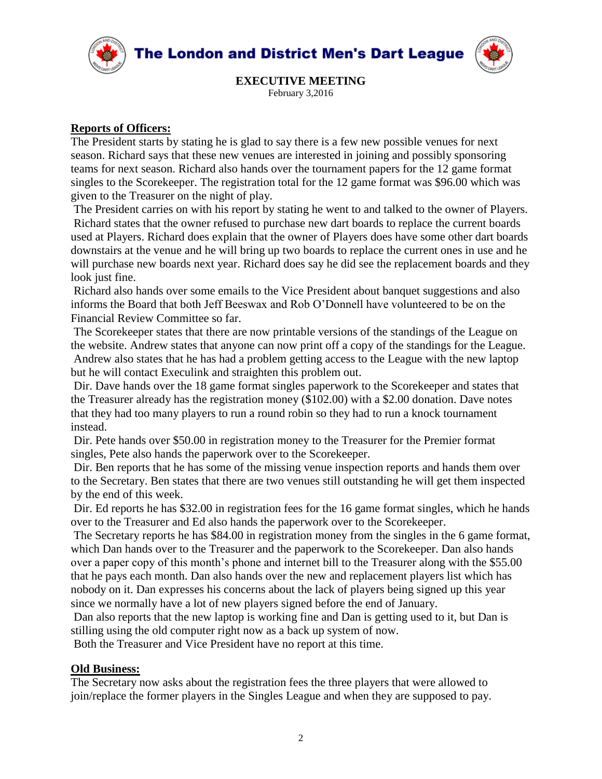

**The London and District Men's Dart League** 



**EXECUTIVE MEETING** February 3,2016

## **Reports of Officers:**

The President starts by stating he is glad to say there is a few new possible venues for next season. Richard says that these new venues are interested in joining and possibly sponsoring teams for next season. Richard also hands over the tournament papers for the 12 game format singles to the Scorekeeper. The registration total for the 12 game format was \$96.00 which was given to the Treasurer on the night of play.

The President carries on with his report by stating he went to and talked to the owner of Players. Richard states that the owner refused to purchase new dart boards to replace the current boards used at Players. Richard does explain that the owner of Players does have some other dart boards downstairs at the venue and he will bring up two boards to replace the current ones in use and he will purchase new boards next year. Richard does say he did see the replacement boards and they look just fine.

Richard also hands over some emails to the Vice President about banquet suggestions and also informs the Board that both Jeff Beeswax and Rob O'Donnell have volunteered to be on the Financial Review Committee so far.

The Scorekeeper states that there are now printable versions of the standings of the League on the website. Andrew states that anyone can now print off a copy of the standings for the League. Andrew also states that he has had a problem getting access to the League with the new laptop but he will contact Execulink and straighten this problem out.

Dir. Dave hands over the 18 game format singles paperwork to the Scorekeeper and states that the Treasurer already has the registration money (\$102.00) with a \$2.00 donation. Dave notes that they had too many players to run a round robin so they had to run a knock tournament instead.

Dir. Pete hands over \$50.00 in registration money to the Treasurer for the Premier format singles, Pete also hands the paperwork over to the Scorekeeper.

Dir. Ben reports that he has some of the missing venue inspection reports and hands them over to the Secretary. Ben states that there are two venues still outstanding he will get them inspected by the end of this week.

Dir. Ed reports he has \$32.00 in registration fees for the 16 game format singles, which he hands over to the Treasurer and Ed also hands the paperwork over to the Scorekeeper.

The Secretary reports he has \$84.00 in registration money from the singles in the 6 game format, which Dan hands over to the Treasurer and the paperwork to the Scorekeeper. Dan also hands over a paper copy of this month's phone and internet bill to the Treasurer along with the \$55.00 that he pays each month. Dan also hands over the new and replacement players list which has nobody on it. Dan expresses his concerns about the lack of players being signed up this year since we normally have a lot of new players signed before the end of January.

Dan also reports that the new laptop is working fine and Dan is getting used to it, but Dan is stilling using the old computer right now as a back up system of now.

Both the Treasurer and Vice President have no report at this time.

### **Old Business:**

The Secretary now asks about the registration fees the three players that were allowed to join/replace the former players in the Singles League and when they are supposed to pay.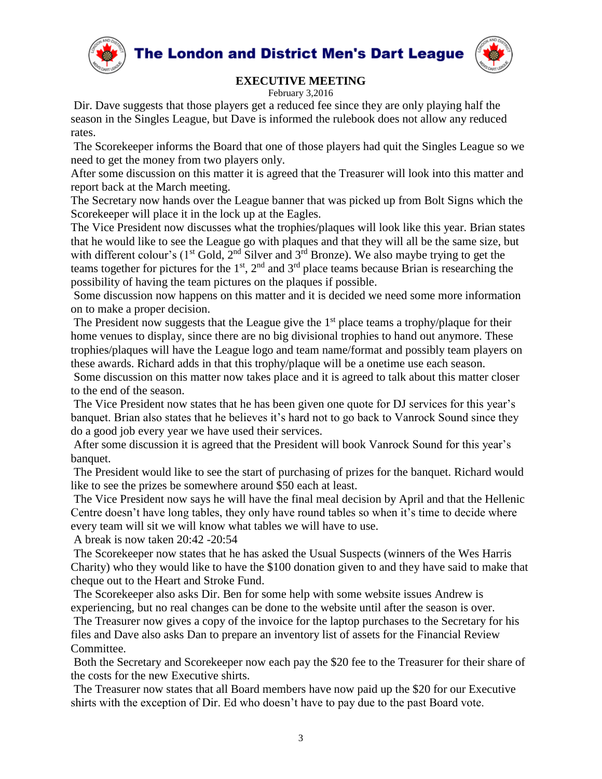

The London and District Men's Dart League



# **EXECUTIVE MEETING**

#### February 3,2016

Dir. Dave suggests that those players get a reduced fee since they are only playing half the season in the Singles League, but Dave is informed the rulebook does not allow any reduced rates.

The Scorekeeper informs the Board that one of those players had quit the Singles League so we need to get the money from two players only.

After some discussion on this matter it is agreed that the Treasurer will look into this matter and report back at the March meeting.

The Secretary now hands over the League banner that was picked up from Bolt Signs which the Scorekeeper will place it in the lock up at the Eagles.

The Vice President now discusses what the trophies/plaques will look like this year. Brian states that he would like to see the League go with plaques and that they will all be the same size, but with different colour's ( $1<sup>st</sup>$  Gold,  $2<sup>nd</sup>$  Silver and  $3<sup>rd</sup>$  Bronze). We also maybe trying to get the teams together for pictures for the  $1<sup>st</sup>$ ,  $2<sup>nd</sup>$  and  $3<sup>rd</sup>$  place teams because Brian is researching the possibility of having the team pictures on the plaques if possible.

Some discussion now happens on this matter and it is decided we need some more information on to make a proper decision.

The President now suggests that the League give the  $1<sup>st</sup>$  place teams a trophy/plaque for their home venues to display, since there are no big divisional trophies to hand out anymore. These trophies/plaques will have the League logo and team name/format and possibly team players on these awards. Richard adds in that this trophy/plaque will be a onetime use each season.

Some discussion on this matter now takes place and it is agreed to talk about this matter closer to the end of the season.

The Vice President now states that he has been given one quote for DJ services for this year's banquet. Brian also states that he believes it's hard not to go back to Vanrock Sound since they do a good job every year we have used their services.

After some discussion it is agreed that the President will book Vanrock Sound for this year's banquet.

The President would like to see the start of purchasing of prizes for the banquet. Richard would like to see the prizes be somewhere around \$50 each at least.

The Vice President now says he will have the final meal decision by April and that the Hellenic Centre doesn't have long tables, they only have round tables so when it's time to decide where every team will sit we will know what tables we will have to use.

A break is now taken 20:42 -20:54

The Scorekeeper now states that he has asked the Usual Suspects (winners of the Wes Harris Charity) who they would like to have the \$100 donation given to and they have said to make that cheque out to the Heart and Stroke Fund.

The Scorekeeper also asks Dir. Ben for some help with some website issues Andrew is experiencing, but no real changes can be done to the website until after the season is over.

The Treasurer now gives a copy of the invoice for the laptop purchases to the Secretary for his files and Dave also asks Dan to prepare an inventory list of assets for the Financial Review Committee.

Both the Secretary and Scorekeeper now each pay the \$20 fee to the Treasurer for their share of the costs for the new Executive shirts.

The Treasurer now states that all Board members have now paid up the \$20 for our Executive shirts with the exception of Dir. Ed who doesn't have to pay due to the past Board vote.